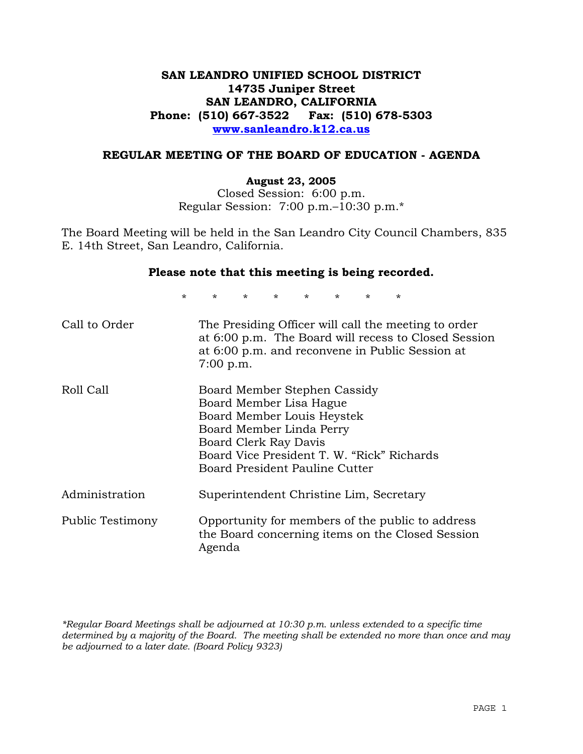# **SAN LEANDRO UNIFIED SCHOOL DISTRICT 14735 Juniper Street SAN LEANDRO, CALIFORNIA Phone: (510) 667-3522 Fax: (510) 678-5303 www.sanleandro.k12.ca.us**

### **REGULAR MEETING OF THE BOARD OF EDUCATION - AGENDA**

#### **August 23, 2005**

Closed Session: 6:00 p.m. Regular Session: 7:00 p.m.–10:30 p.m.\*

The Board Meeting will be held in the San Leandro City Council Chambers, 835 E. 14th Street, San Leandro, California.

#### **Please note that this meeting is being recorded.**

\* \* \* \* \* \* \* \* Call to Order The Presiding Officer will call the meeting to order at 6:00 p.m. The Board will recess to Closed Session at 6:00 p.m. and reconvene in Public Session at 7:00 p.m. Roll Call Board Member Stephen Cassidy Board Member Lisa Hague Board Member Louis Heystek Board Member Linda Perry Board Clerk Ray Davis Board Vice President T. W. "Rick" Richards Board President Pauline Cutter Administration Superintendent Christine Lim, Secretary Public Testimony Opportunity for members of the public to address the Board concerning items on the Closed Session Agenda

*\*Regular Board Meetings shall be adjourned at 10:30 p.m. unless extended to a specific time determined by a majority of the Board. The meeting shall be extended no more than once and may be adjourned to a later date. (Board Policy 9323)*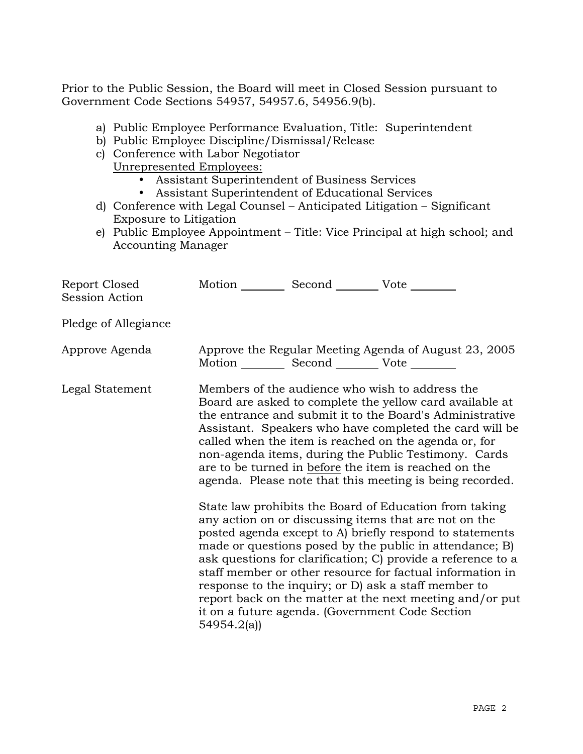Prior to the Public Session, the Board will meet in Closed Session pursuant to Government Code Sections 54957, 54957.6, 54956.9(b).

- a) Public Employee Performance Evaluation, Title: Superintendent
- b) Public Employee Discipline/Dismissal/Release
- c) Conference with Labor Negotiator
	- Unrepresented Employees:
		- Assistant Superintendent of Business Services
		- Assistant Superintendent of Educational Services
- d) Conference with Legal Counsel Anticipated Litigation Significant Exposure to Litigation
- e) Public Employee Appointment Title: Vice Principal at high school; and Accounting Manager

| Report Closed<br><b>Session Action</b> | Motion __________ Second __________ Vote ________ |                                                                                                                                                                                                                                                                                                                                                                                                                                                                                                                                                                                                                                                                                                                                                                                                                                                                                                                                                                                                                        |
|----------------------------------------|---------------------------------------------------|------------------------------------------------------------------------------------------------------------------------------------------------------------------------------------------------------------------------------------------------------------------------------------------------------------------------------------------------------------------------------------------------------------------------------------------------------------------------------------------------------------------------------------------------------------------------------------------------------------------------------------------------------------------------------------------------------------------------------------------------------------------------------------------------------------------------------------------------------------------------------------------------------------------------------------------------------------------------------------------------------------------------|
| Pledge of Allegiance                   |                                                   |                                                                                                                                                                                                                                                                                                                                                                                                                                                                                                                                                                                                                                                                                                                                                                                                                                                                                                                                                                                                                        |
| Approve Agenda                         | Motion __________ Second __________ Vote ________ | Approve the Regular Meeting Agenda of August 23, 2005                                                                                                                                                                                                                                                                                                                                                                                                                                                                                                                                                                                                                                                                                                                                                                                                                                                                                                                                                                  |
| Legal Statement                        | 54954.2(a)                                        | Members of the audience who wish to address the<br>Board are asked to complete the yellow card available at<br>the entrance and submit it to the Board's Administrative<br>Assistant. Speakers who have completed the card will be<br>called when the item is reached on the agenda or, for<br>non-agenda items, during the Public Testimony. Cards<br>are to be turned in before the item is reached on the<br>agenda. Please note that this meeting is being recorded.<br>State law prohibits the Board of Education from taking<br>any action on or discussing items that are not on the<br>posted agenda except to A) briefly respond to statements<br>made or questions posed by the public in attendance; B)<br>ask questions for clarification; C) provide a reference to a<br>staff member or other resource for factual information in<br>response to the inquiry; or D) ask a staff member to<br>report back on the matter at the next meeting and/or put<br>it on a future agenda. (Government Code Section |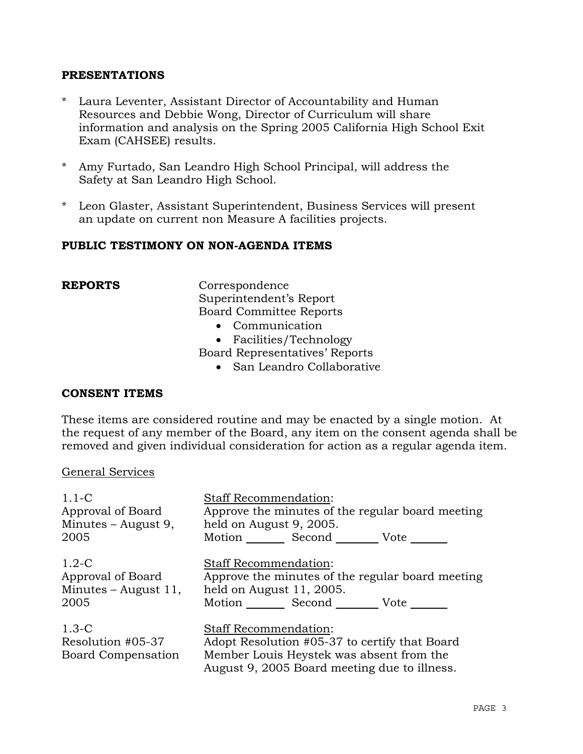# **PRESENTATIONS**

- \* Laura Leventer, Assistant Director of Accountability and Human Resources and Debbie Wong, Director of Curriculum will share information and analysis on the Spring 2005 California High School Exit Exam (CAHSEE) results.
- \* Amy Furtado, San Leandro High School Principal, will address the Safety at San Leandro High School.
- \* Leon Glaster, Assistant Superintendent, Business Services will present an update on current non Measure A facilities projects.

# **PUBLIC TESTIMONY ON NON-AGENDA ITEMS**

**REPORTS** Correspondence Superintendent's Report Board Committee Reports

- Communication
- Facilities/Technology
- Board Representatives' Reports
	- San Leandro Collaborative

# **CONSENT ITEMS**

These items are considered routine and may be enacted by a single motion. At the request of any member of the Board, any item on the consent agenda shall be removed and given individual consideration for action as a regular agenda item.

#### General Services

| $1.1 - C$                                          | <b>Staff Recommendation:</b>                                                                                                                                              |  |
|----------------------------------------------------|---------------------------------------------------------------------------------------------------------------------------------------------------------------------------|--|
| Approval of Board                                  | Approve the minutes of the regular board meeting                                                                                                                          |  |
| Minutes – August 9,                                | held on August 9, 2005.                                                                                                                                                   |  |
| 2005                                               | Motion Second Vote                                                                                                                                                        |  |
| $1.2-C$                                            | <b>Staff Recommendation:</b>                                                                                                                                              |  |
| Approval of Board                                  | Approve the minutes of the regular board meeting                                                                                                                          |  |
| Minutes $-$ August 11,                             | held on August 11, 2005.                                                                                                                                                  |  |
| 2005                                               | Motion ______ Second ________ Vote ______                                                                                                                                 |  |
| $1.3-C$<br>Resolution #05-37<br>Board Compensation | <b>Staff Recommendation:</b><br>Adopt Resolution #05-37 to certify that Board<br>Member Louis Heystek was absent from the<br>August 9, 2005 Board meeting due to illness. |  |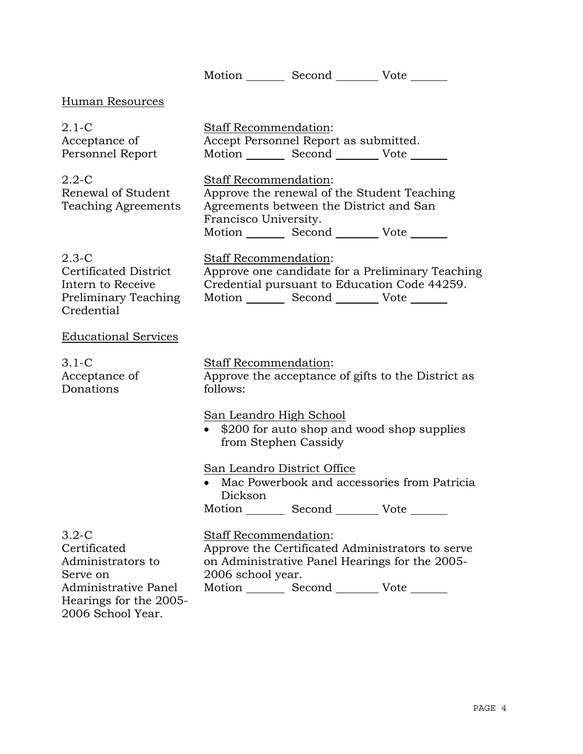Motion Second Vote Human Resources 2.1-C Acceptance of Personnel Report Staff Recommendation: Accept Personnel Report as submitted. Motion Second Vote 2.2-C Renewal of Student Teaching Agreements Staff Recommendation: Approve the renewal of the Student Teaching Agreements between the District and San Francisco University. Motion Second Vote 2.3-C Certificated District Intern to Receive Preliminary Teaching Credential Staff Recommendation: Approve one candidate for a Preliminary Teaching Credential pursuant to Education Code 44259. Motion Second Vote Educational Services 3.1-C Acceptance of Donations Staff Recommendation: Approve the acceptance of gifts to the District as follows: San Leandro High School • \$200 for auto shop and wood shop supplies from Stephen Cassidy San Leandro District Office • Mac Powerbook and accessories from Patricia Dickson Motion Second Vote 3.2-C Certificated Administrators to Serve on Administrative Panel Hearings for the 2005- 2006 School Year. Staff Recommendation: Approve the Certificated Administrators to serve on Administrative Panel Hearings for the 2005- 2006 school year. Motion Second Vote \_\_\_\_\_\_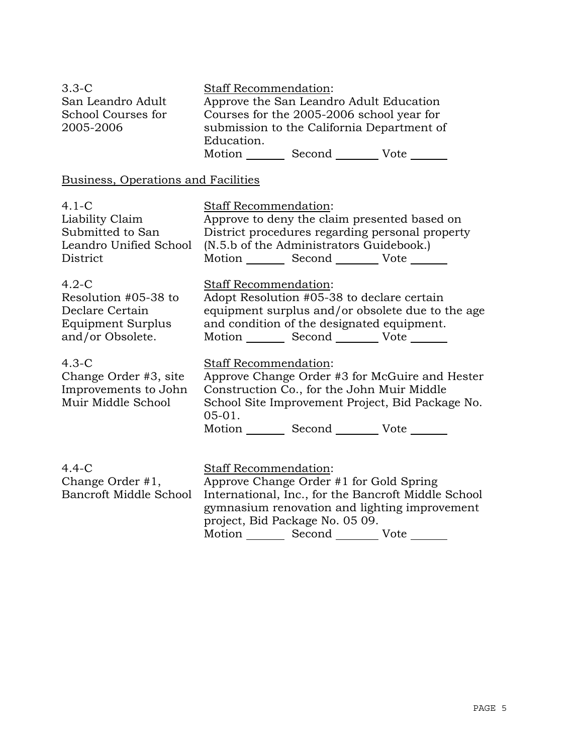| $3.3-C$            | <b>Staff Recommendation:</b>               |        |      |
|--------------------|--------------------------------------------|--------|------|
| San Leandro Adult  | Approve the San Leandro Adult Education    |        |      |
| School Courses for | Courses for the 2005-2006 school year for  |        |      |
| 2005-2006          | submission to the California Department of |        |      |
|                    | Education.                                 |        |      |
|                    | Motion                                     | Second | Vote |

# Business, Operations and Facilities

| $4.1 - C$                                                                      | Staff Recommendation:                                                                                                                                                                                                                                                |
|--------------------------------------------------------------------------------|----------------------------------------------------------------------------------------------------------------------------------------------------------------------------------------------------------------------------------------------------------------------|
| Liability Claim                                                                | Approve to deny the claim presented based on                                                                                                                                                                                                                         |
| Submitted to San                                                               | District procedures regarding personal property                                                                                                                                                                                                                      |
| Leandro Unified School                                                         | (N.5.b of the Administrators Guidebook.)                                                                                                                                                                                                                             |
| District                                                                       | Motion _________ Second __________ Vote _______                                                                                                                                                                                                                      |
| $4.2-C$                                                                        | Staff Recommendation:                                                                                                                                                                                                                                                |
| Resolution #05-38 to                                                           | Adopt Resolution #05-38 to declare certain                                                                                                                                                                                                                           |
| Declare Certain                                                                | equipment surplus and/or obsolete due to the age                                                                                                                                                                                                                     |
| Equipment Surplus                                                              | and condition of the designated equipment.                                                                                                                                                                                                                           |
| and/or Obsolete.                                                               | Motion _________ Second __________ Vote _______                                                                                                                                                                                                                      |
| $4.3-C$<br>Change Order #3, site<br>Improvements to John<br>Muir Middle School | Staff Recommendation:<br>Approve Change Order #3 for McGuire and Hester<br>Construction Co., for the John Muir Middle<br>School Site Improvement Project, Bid Package No.<br>$05-01.$<br>Motion _________ Second __________ Vote _______                             |
| $4.4-C$<br>Change Order #1,<br>Bancroft Middle School                          | <b>Staff Recommendation:</b><br>Approve Change Order #1 for Gold Spring<br>International, Inc., for the Bancroft Middle School<br>gymnasium renovation and lighting improvement<br>project, Bid Package No. 05 09.<br>Motion _________ Second _________ Vote _______ |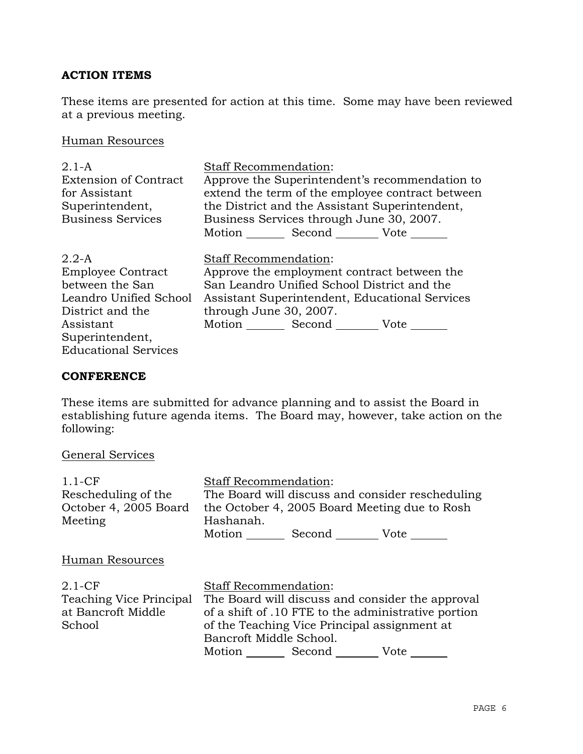# **ACTION ITEMS**

These items are presented for action at this time. Some may have been reviewed at a previous meeting.

# Human Resources

| $2.1 - A$<br><b>Extension of Contract</b><br>for Assistant | <b>Staff Recommendation:</b><br>Approve the Superintendent's recommendation to<br>extend the term of the employee contract between |  |  |  |
|------------------------------------------------------------|------------------------------------------------------------------------------------------------------------------------------------|--|--|--|
| Superintendent,                                            | the District and the Assistant Superintendent,                                                                                     |  |  |  |
| <b>Business Services</b>                                   | Business Services through June 30, 2007.                                                                                           |  |  |  |
|                                                            | Motion Second Vote                                                                                                                 |  |  |  |
| $2.2-A$                                                    | <b>Staff Recommendation:</b>                                                                                                       |  |  |  |
| <b>Employee Contract</b>                                   | Approve the employment contract between the                                                                                        |  |  |  |
| between the San                                            | San Leandro Unified School District and the                                                                                        |  |  |  |
| Leandro Unified School                                     | Assistant Superintendent, Educational Services                                                                                     |  |  |  |
| District and the                                           | through June 30, 2007.                                                                                                             |  |  |  |
| Assistant                                                  | Motion Second Vote                                                                                                                 |  |  |  |
| Superintendent,                                            |                                                                                                                                    |  |  |  |
| <b>Educational Services</b>                                |                                                                                                                                    |  |  |  |

# **CONFERENCE**

These items are submitted for advance planning and to assist the Board in establishing future agenda items. The Board may, however, take action on the following:

# General Services

| $1.1-CF$                | <b>Staff Recommendation:</b>                        |                                  |      |  |
|-------------------------|-----------------------------------------------------|----------------------------------|------|--|
| Rescheduling of the     | The Board will discuss and consider rescheduling    |                                  |      |  |
| October 4, 2005 Board   | the October 4, 2005 Board Meeting due to Rosh       |                                  |      |  |
| Meeting                 | Hashanah.                                           |                                  |      |  |
|                         |                                                     | Motion Second Vote               |      |  |
| Human Resources         |                                                     |                                  |      |  |
| $2.1 - CF$              | <b>Staff Recommendation:</b>                        |                                  |      |  |
| Teaching Vice Principal | The Board will discuss and consider the approval    |                                  |      |  |
| at Bancroft Middle      | of a shift of .10 FTE to the administrative portion |                                  |      |  |
| School                  | of the Teaching Vice Principal assignment at        |                                  |      |  |
|                         | Bancroft Middle School.                             |                                  |      |  |
|                         |                                                     | Motion __________ Second _______ | Vote |  |